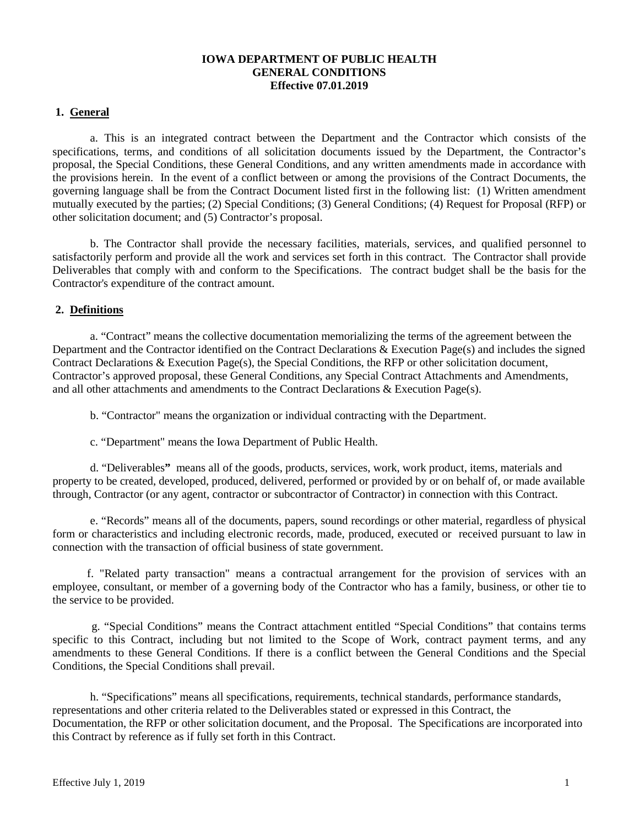# **IOWA DEPARTMENT OF PUBLIC HEALTH GENERAL CONDITIONS Effective 07.01.2019**

# **1. General**

a. This is an integrated contract between the Department and the Contractor which consists of the specifications, terms, and conditions of all solicitation documents issued by the Department, the Contractor's proposal, the Special Conditions, these General Conditions, and any written amendments made in accordance with the provisions herein. In the event of a conflict between or among the provisions of the Contract Documents, the governing language shall be from the Contract Document listed first in the following list: (1) Written amendment mutually executed by the parties; (2) Special Conditions; (3) General Conditions; (4) Request for Proposal (RFP) or other solicitation document; and (5) Contractor's proposal.

b. The Contractor shall provide the necessary facilities, materials, services, and qualified personnel to satisfactorily perform and provide all the work and services set forth in this contract. The Contractor shall provide Deliverables that comply with and conform to the Specifications. The contract budget shall be the basis for the Contractor's expenditure of the contract amount.

# **2. Definitions**

a. "Contract" means the collective documentation memorializing the terms of the agreement between the Department and the Contractor identified on the Contract Declarations & Execution Page(s) and includes the signed Contract Declarations & Execution Page(s), the Special Conditions, the RFP or other solicitation document, Contractor's approved proposal, these General Conditions, any Special Contract Attachments and Amendments, and all other attachments and amendments to the Contract Declarations & Execution Page(s).

b. "Contractor" means the organization or individual contracting with the Department.

c. "Department" means the Iowa Department of Public Health.

d. "Deliverables**"** means all of the goods, products, services, work, work product, items, materials and property to be created, developed, produced, delivered, performed or provided by or on behalf of, or made available through, Contractor (or any agent, contractor or subcontractor of Contractor) in connection with this Contract.

e. "Records" means all of the documents, papers, sound recordings or other material, regardless of physical form or characteristics and including electronic records, made, produced, executed or received pursuant to law in connection with the transaction of official business of state government.

 f. "Related party transaction" means a contractual arrangement for the provision of services with an employee, consultant, or member of a governing body of the Contractor who has a family, business, or other tie to the service to be provided.

g. "Special Conditions" means the Contract attachment entitled "Special Conditions" that contains terms specific to this Contract, including but not limited to the Scope of Work, contract payment terms, and any amendments to these General Conditions. If there is a conflict between the General Conditions and the Special Conditions, the Special Conditions shall prevail.

h. "Specifications" means all specifications, requirements, technical standards, performance standards, representations and other criteria related to the Deliverables stated or expressed in this Contract, the Documentation, the RFP or other solicitation document, and the Proposal. The Specifications are incorporated into this Contract by reference as if fully set forth in this Contract.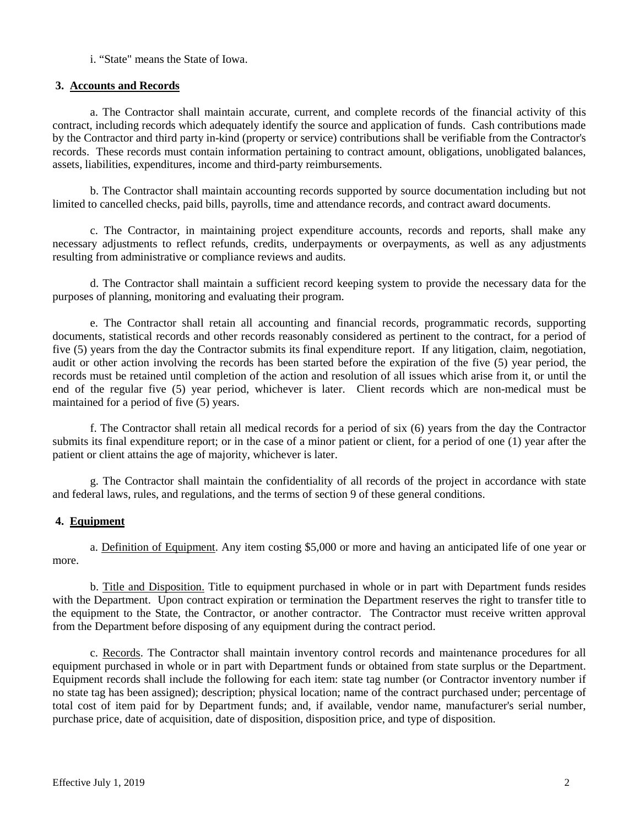i. "State" means the State of Iowa.

# **3. Accounts and Records**

a. The Contractor shall maintain accurate, current, and complete records of the financial activity of this contract, including records which adequately identify the source and application of funds. Cash contributions made by the Contractor and third party in-kind (property or service) contributions shall be verifiable from the Contractor's records. These records must contain information pertaining to contract amount, obligations, unobligated balances, assets, liabilities, expenditures, income and third-party reimbursements.

b. The Contractor shall maintain accounting records supported by source documentation including but not limited to cancelled checks, paid bills, payrolls, time and attendance records, and contract award documents.

c. The Contractor, in maintaining project expenditure accounts, records and reports, shall make any necessary adjustments to reflect refunds, credits, underpayments or overpayments, as well as any adjustments resulting from administrative or compliance reviews and audits.

d. The Contractor shall maintain a sufficient record keeping system to provide the necessary data for the purposes of planning, monitoring and evaluating their program.

e. The Contractor shall retain all accounting and financial records, programmatic records, supporting documents, statistical records and other records reasonably considered as pertinent to the contract, for a period of five (5) years from the day the Contractor submits its final expenditure report. If any litigation, claim, negotiation, audit or other action involving the records has been started before the expiration of the five (5) year period, the records must be retained until completion of the action and resolution of all issues which arise from it, or until the end of the regular five (5) year period, whichever is later. Client records which are non-medical must be maintained for a period of five (5) years.

f. The Contractor shall retain all medical records for a period of six (6) years from the day the Contractor submits its final expenditure report; or in the case of a minor patient or client, for a period of one (1) year after the patient or client attains the age of majority, whichever is later.

g. The Contractor shall maintain the confidentiality of all records of the project in accordance with state and federal laws, rules, and regulations, and the terms of section 9 of these general conditions.

# **4. Equipment**

a. Definition of Equipment. Any item costing \$5,000 or more and having an anticipated life of one year or more.

b. Title and Disposition. Title to equipment purchased in whole or in part with Department funds resides with the Department. Upon contract expiration or termination the Department reserves the right to transfer title to the equipment to the State, the Contractor, or another contractor. The Contractor must receive written approval from the Department before disposing of any equipment during the contract period.

c. Records. The Contractor shall maintain inventory control records and maintenance procedures for all equipment purchased in whole or in part with Department funds or obtained from state surplus or the Department. Equipment records shall include the following for each item: state tag number (or Contractor inventory number if no state tag has been assigned); description; physical location; name of the contract purchased under; percentage of total cost of item paid for by Department funds; and, if available, vendor name, manufacturer's serial number, purchase price, date of acquisition, date of disposition, disposition price, and type of disposition.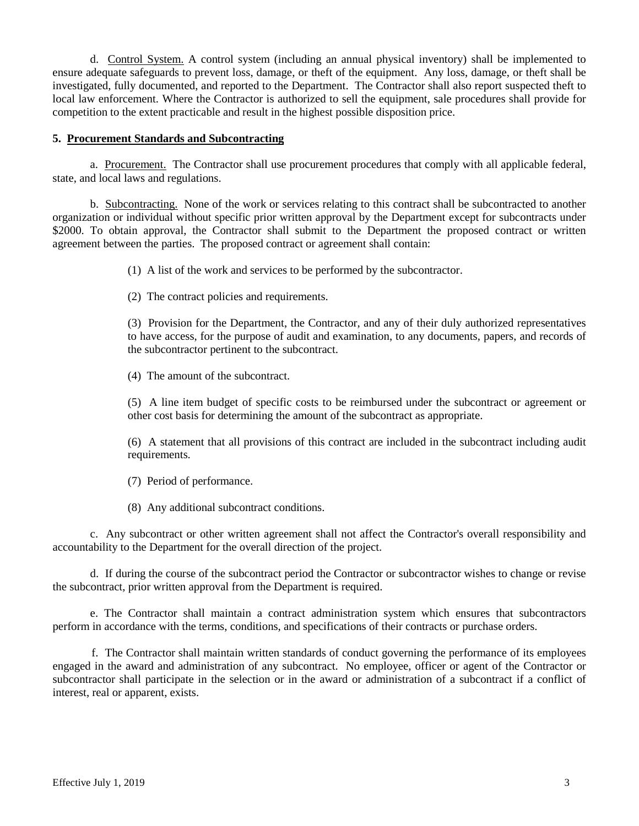d. Control System. A control system (including an annual physical inventory) shall be implemented to ensure adequate safeguards to prevent loss, damage, or theft of the equipment. Any loss, damage, or theft shall be investigated, fully documented, and reported to the Department. The Contractor shall also report suspected theft to local law enforcement. Where the Contractor is authorized to sell the equipment, sale procedures shall provide for competition to the extent practicable and result in the highest possible disposition price.

### **5. Procurement Standards and Subcontracting**

a. Procurement. The Contractor shall use procurement procedures that comply with all applicable federal, state, and local laws and regulations.

b. Subcontracting. None of the work or services relating to this contract shall be subcontracted to another organization or individual without specific prior written approval by the Department except for subcontracts under \$2000. To obtain approval, the Contractor shall submit to the Department the proposed contract or written agreement between the parties. The proposed contract or agreement shall contain:

(1) A list of the work and services to be performed by the subcontractor.

(2) The contract policies and requirements.

(3) Provision for the Department, the Contractor, and any of their duly authorized representatives to have access, for the purpose of audit and examination, to any documents, papers, and records of the subcontractor pertinent to the subcontract.

(4) The amount of the subcontract.

(5) A line item budget of specific costs to be reimbursed under the subcontract or agreement or other cost basis for determining the amount of the subcontract as appropriate.

(6) A statement that all provisions of this contract are included in the subcontract including audit requirements.

(7) Period of performance.

(8) Any additional subcontract conditions.

c. Any subcontract or other written agreement shall not affect the Contractor's overall responsibility and accountability to the Department for the overall direction of the project.

d. If during the course of the subcontract period the Contractor or subcontractor wishes to change or revise the subcontract, prior written approval from the Department is required.

e. The Contractor shall maintain a contract administration system which ensures that subcontractors perform in accordance with the terms, conditions, and specifications of their contracts or purchase orders.

f. The Contractor shall maintain written standards of conduct governing the performance of its employees engaged in the award and administration of any subcontract. No employee, officer or agent of the Contractor or subcontractor shall participate in the selection or in the award or administration of a subcontract if a conflict of interest, real or apparent, exists.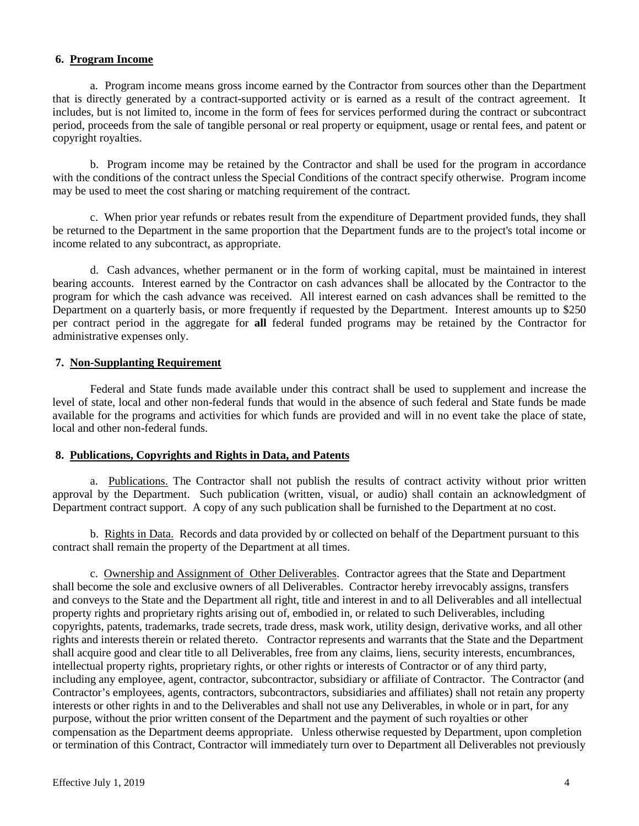# **6. Program Income**

a. Program income means gross income earned by the Contractor from sources other than the Department that is directly generated by a contract-supported activity or is earned as a result of the contract agreement. It includes, but is not limited to, income in the form of fees for services performed during the contract or subcontract period, proceeds from the sale of tangible personal or real property or equipment, usage or rental fees, and patent or copyright royalties.

b. Program income may be retained by the Contractor and shall be used for the program in accordance with the conditions of the contract unless the Special Conditions of the contract specify otherwise. Program income may be used to meet the cost sharing or matching requirement of the contract.

c. When prior year refunds or rebates result from the expenditure of Department provided funds, they shall be returned to the Department in the same proportion that the Department funds are to the project's total income or income related to any subcontract, as appropriate.

d. Cash advances, whether permanent or in the form of working capital, must be maintained in interest bearing accounts. Interest earned by the Contractor on cash advances shall be allocated by the Contractor to the program for which the cash advance was received. All interest earned on cash advances shall be remitted to the Department on a quarterly basis, or more frequently if requested by the Department. Interest amounts up to \$250 per contract period in the aggregate for **all** federal funded programs may be retained by the Contractor for administrative expenses only.

#### **7. Non-Supplanting Requirement**

Federal and State funds made available under this contract shall be used to supplement and increase the level of state, local and other non-federal funds that would in the absence of such federal and State funds be made available for the programs and activities for which funds are provided and will in no event take the place of state, local and other non-federal funds.

#### **8. Publications, Copyrights and Rights in Data, and Patents**

a. Publications. The Contractor shall not publish the results of contract activity without prior written approval by the Department. Such publication (written, visual, or audio) shall contain an acknowledgment of Department contract support. A copy of any such publication shall be furnished to the Department at no cost.

b. Rights in Data. Records and data provided by or collected on behalf of the Department pursuant to this contract shall remain the property of the Department at all times.

c. Ownership and Assignment of Other Deliverables. Contractor agrees that the State and Department shall become the sole and exclusive owners of all Deliverables. Contractor hereby irrevocably assigns, transfers and conveys to the State and the Department all right, title and interest in and to all Deliverables and all intellectual property rights and proprietary rights arising out of, embodied in, or related to such Deliverables, including copyrights, patents, trademarks, trade secrets, trade dress, mask work, utility design, derivative works, and all other rights and interests therein or related thereto. Contractor represents and warrants that the State and the Department shall acquire good and clear title to all Deliverables, free from any claims, liens, security interests, encumbrances, intellectual property rights, proprietary rights, or other rights or interests of Contractor or of any third party, including any employee, agent, contractor, subcontractor, subsidiary or affiliate of Contractor. The Contractor (and Contractor's employees, agents, contractors, subcontractors, subsidiaries and affiliates) shall not retain any property interests or other rights in and to the Deliverables and shall not use any Deliverables, in whole or in part, for any purpose, without the prior written consent of the Department and the payment of such royalties or other compensation as the Department deems appropriate. Unless otherwise requested by Department, upon completion or termination of this Contract, Contractor will immediately turn over to Department all Deliverables not previously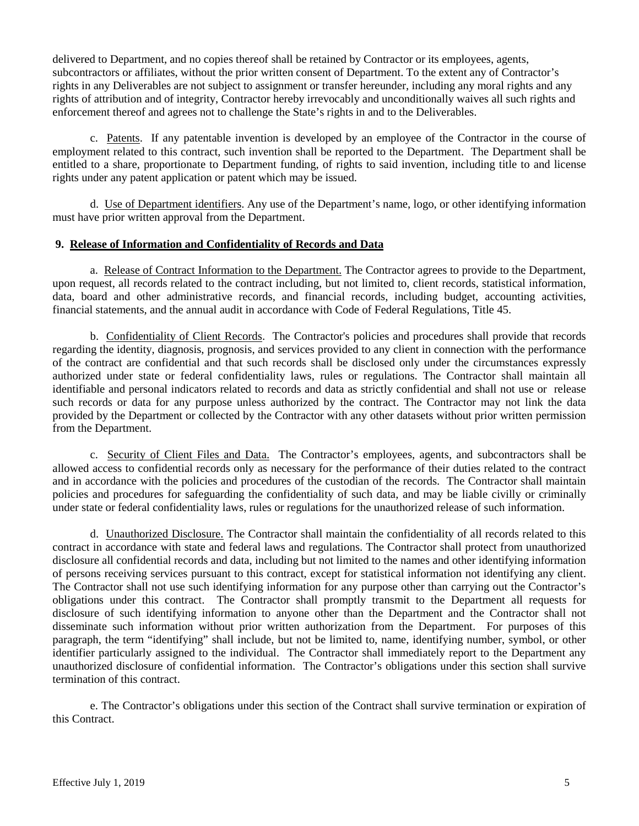delivered to Department, and no copies thereof shall be retained by Contractor or its employees, agents, subcontractors or affiliates, without the prior written consent of Department. To the extent any of Contractor's rights in any Deliverables are not subject to assignment or transfer hereunder, including any moral rights and any rights of attribution and of integrity, Contractor hereby irrevocably and unconditionally waives all such rights and enforcement thereof and agrees not to challenge the State's rights in and to the Deliverables.

c. Patents. If any patentable invention is developed by an employee of the Contractor in the course of employment related to this contract, such invention shall be reported to the Department. The Department shall be entitled to a share, proportionate to Department funding, of rights to said invention, including title to and license rights under any patent application or patent which may be issued.

d. Use of Department identifiers. Any use of the Department's name, logo, or other identifying information must have prior written approval from the Department.

# **9. Release of Information and Confidentiality of Records and Data**

a. Release of Contract Information to the Department. The Contractor agrees to provide to the Department, upon request, all records related to the contract including, but not limited to, client records, statistical information, data, board and other administrative records, and financial records, including budget, accounting activities, financial statements, and the annual audit in accordance with Code of Federal Regulations, Title 45.

b. Confidentiality of Client Records. The Contractor's policies and procedures shall provide that records regarding the identity, diagnosis, prognosis, and services provided to any client in connection with the performance of the contract are confidential and that such records shall be disclosed only under the circumstances expressly authorized under state or federal confidentiality laws, rules or regulations. The Contractor shall maintain all identifiable and personal indicators related to records and data as strictly confidential and shall not use or release such records or data for any purpose unless authorized by the contract. The Contractor may not link the data provided by the Department or collected by the Contractor with any other datasets without prior written permission from the Department.

c. Security of Client Files and Data. The Contractor's employees, agents, and subcontractors shall be allowed access to confidential records only as necessary for the performance of their duties related to the contract and in accordance with the policies and procedures of the custodian of the records. The Contractor shall maintain policies and procedures for safeguarding the confidentiality of such data, and may be liable civilly or criminally under state or federal confidentiality laws, rules or regulations for the unauthorized release of such information.

d. Unauthorized Disclosure. The Contractor shall maintain the confidentiality of all records related to this contract in accordance with state and federal laws and regulations. The Contractor shall protect from unauthorized disclosure all confidential records and data, including but not limited to the names and other identifying information of persons receiving services pursuant to this contract, except for statistical information not identifying any client. The Contractor shall not use such identifying information for any purpose other than carrying out the Contractor's obligations under this contract. The Contractor shall promptly transmit to the Department all requests for disclosure of such identifying information to anyone other than the Department and the Contractor shall not disseminate such information without prior written authorization from the Department. For purposes of this paragraph, the term "identifying" shall include, but not be limited to, name, identifying number, symbol, or other identifier particularly assigned to the individual. The Contractor shall immediately report to the Department any unauthorized disclosure of confidential information. The Contractor's obligations under this section shall survive termination of this contract.

e. The Contractor's obligations under this section of the Contract shall survive termination or expiration of this Contract.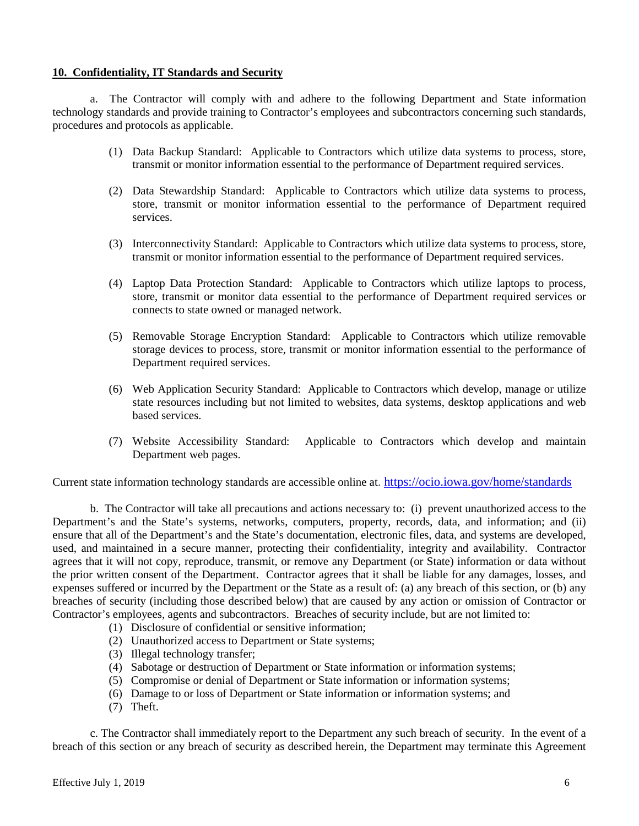### **10. Confidentiality, IT Standards and Security**

a. The Contractor will comply with and adhere to the following Department and State information technology standards and provide training to Contractor's employees and subcontractors concerning such standards, procedures and protocols as applicable.

- (1) Data Backup Standard: Applicable to Contractors which utilize data systems to process, store, transmit or monitor information essential to the performance of Department required services.
- (2) Data Stewardship Standard: Applicable to Contractors which utilize data systems to process, store, transmit or monitor information essential to the performance of Department required services.
- (3) Interconnectivity Standard: Applicable to Contractors which utilize data systems to process, store, transmit or monitor information essential to the performance of Department required services.
- (4) Laptop Data Protection Standard: Applicable to Contractors which utilize laptops to process, store, transmit or monitor data essential to the performance of Department required services or connects to state owned or managed network.
- (5) Removable Storage Encryption Standard: Applicable to Contractors which utilize removable storage devices to process, store, transmit or monitor information essential to the performance of Department required services.
- (6) Web Application Security Standard: Applicable to Contractors which develop, manage or utilize state resources including but not limited to websites, data systems, desktop applications and web based services.
- (7) Website Accessibility Standard: Applicable to Contractors which develop and maintain Department web pages.

Current state information technology standards are accessible online at.<https://ocio.iowa.gov/home/standards>

b. The Contractor will take all precautions and actions necessary to: (i) prevent unauthorized access to the Department's and the State's systems, networks, computers, property, records, data, and information; and (ii) ensure that all of the Department's and the State's documentation, electronic files, data, and systems are developed, used, and maintained in a secure manner, protecting their confidentiality, integrity and availability. Contractor agrees that it will not copy, reproduce, transmit, or remove any Department (or State) information or data without the prior written consent of the Department. Contractor agrees that it shall be liable for any damages, losses, and expenses suffered or incurred by the Department or the State as a result of: (a) any breach of this section, or (b) any breaches of security (including those described below) that are caused by any action or omission of Contractor or Contractor's employees, agents and subcontractors. Breaches of security include, but are not limited to:

- (1) Disclosure of confidential or sensitive information;
- (2) Unauthorized access to Department or State systems;
- (3) Illegal technology transfer;
- (4) Sabotage or destruction of Department or State information or information systems;
- (5) Compromise or denial of Department or State information or information systems;
- (6) Damage to or loss of Department or State information or information systems; and
- (7) Theft.

c. The Contractor shall immediately report to the Department any such breach of security. In the event of a breach of this section or any breach of security as described herein, the Department may terminate this Agreement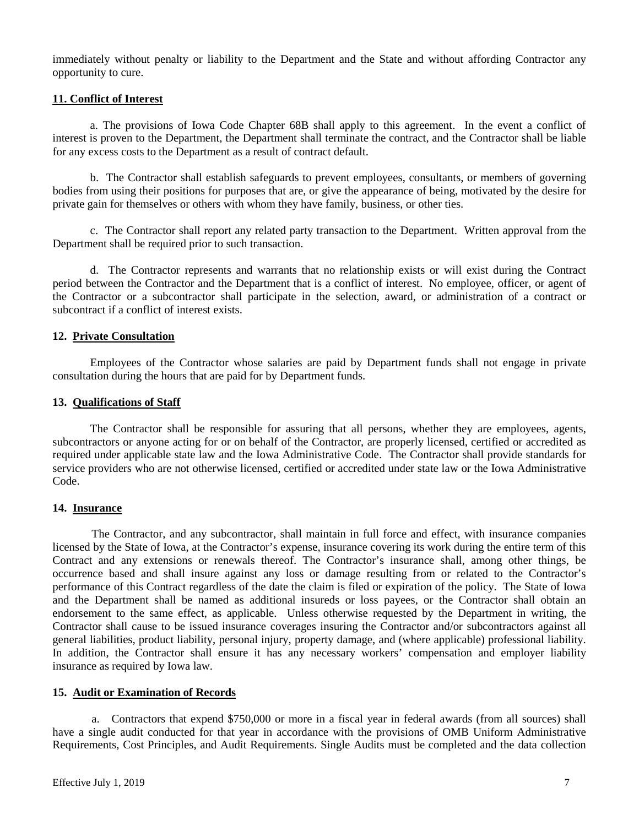immediately without penalty or liability to the Department and the State and without affording Contractor any opportunity to cure.

# **11. Conflict of Interest**

a. The provisions of Iowa Code Chapter 68B shall apply to this agreement. In the event a conflict of interest is proven to the Department, the Department shall terminate the contract, and the Contractor shall be liable for any excess costs to the Department as a result of contract default.

b. The Contractor shall establish safeguards to prevent employees, consultants, or members of governing bodies from using their positions for purposes that are, or give the appearance of being, motivated by the desire for private gain for themselves or others with whom they have family, business, or other ties.

c. The Contractor shall report any related party transaction to the Department. Written approval from the Department shall be required prior to such transaction.

d. The Contractor represents and warrants that no relationship exists or will exist during the Contract period between the Contractor and the Department that is a conflict of interest. No employee, officer, or agent of the Contractor or a subcontractor shall participate in the selection, award, or administration of a contract or subcontract if a conflict of interest exists.

# **12. Private Consultation**

Employees of the Contractor whose salaries are paid by Department funds shall not engage in private consultation during the hours that are paid for by Department funds.

#### **13. Qualifications of Staff**

The Contractor shall be responsible for assuring that all persons, whether they are employees, agents, subcontractors or anyone acting for or on behalf of the Contractor, are properly licensed, certified or accredited as required under applicable state law and the Iowa Administrative Code. The Contractor shall provide standards for service providers who are not otherwise licensed, certified or accredited under state law or the Iowa Administrative Code.

# **14. Insurance**

The Contractor, and any subcontractor, shall maintain in full force and effect, with insurance companies licensed by the State of Iowa, at the Contractor's expense, insurance covering its work during the entire term of this Contract and any extensions or renewals thereof. The Contractor's insurance shall, among other things, be occurrence based and shall insure against any loss or damage resulting from or related to the Contractor's performance of this Contract regardless of the date the claim is filed or expiration of the policy. The State of Iowa and the Department shall be named as additional insureds or loss payees, or the Contractor shall obtain an endorsement to the same effect, as applicable. Unless otherwise requested by the Department in writing, the Contractor shall cause to be issued insurance coverages insuring the Contractor and/or subcontractors against all general liabilities, product liability, personal injury, property damage, and (where applicable) professional liability. In addition, the Contractor shall ensure it has any necessary workers' compensation and employer liability insurance as required by Iowa law.

#### **15. Audit or Examination of Records**

a. Contractors that expend \$750,000 or more in a fiscal year in federal awards (from all sources) shall have a single audit conducted for that year in accordance with the provisions of OMB Uniform Administrative Requirements, Cost Principles, and Audit Requirements. Single Audits must be completed and the data collection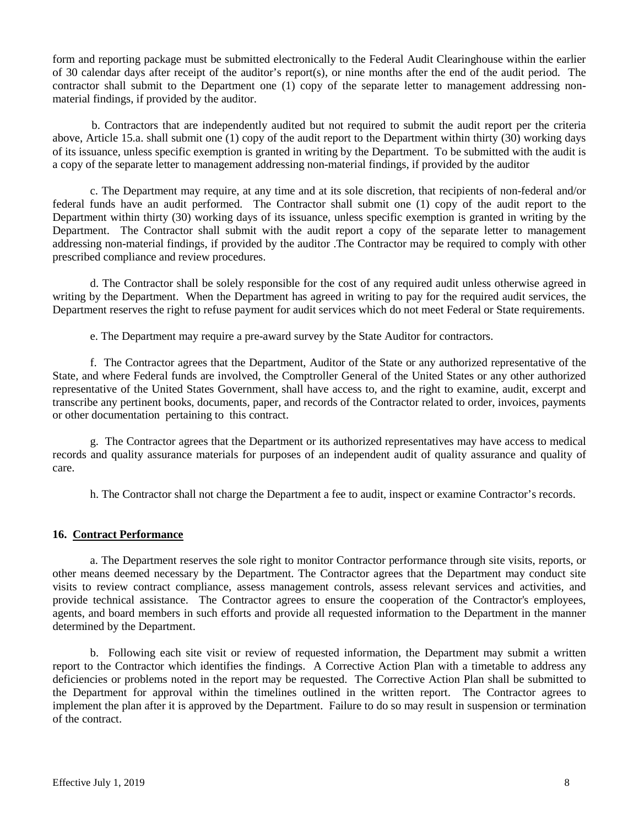form and reporting package must be submitted electronically to the Federal Audit Clearinghouse within the earlier of 30 calendar days after receipt of the auditor's report(s), or nine months after the end of the audit period. The contractor shall submit to the Department one (1) copy of the separate letter to management addressing nonmaterial findings, if provided by the auditor.

b. Contractors that are independently audited but not required to submit the audit report per the criteria above, Article 15.a. shall submit one (1) copy of the audit report to the Department within thirty (30) working days of its issuance, unless specific exemption is granted in writing by the Department. To be submitted with the audit is a copy of the separate letter to management addressing non-material findings, if provided by the auditor

c. The Department may require, at any time and at its sole discretion, that recipients of non-federal and/or federal funds have an audit performed. The Contractor shall submit one (1) copy of the audit report to the Department within thirty (30) working days of its issuance, unless specific exemption is granted in writing by the Department. The Contractor shall submit with the audit report a copy of the separate letter to management addressing non-material findings, if provided by the auditor .The Contractor may be required to comply with other prescribed compliance and review procedures.

d. The Contractor shall be solely responsible for the cost of any required audit unless otherwise agreed in writing by the Department. When the Department has agreed in writing to pay for the required audit services, the Department reserves the right to refuse payment for audit services which do not meet Federal or State requirements.

e. The Department may require a pre-award survey by the State Auditor for contractors.

f. The Contractor agrees that the Department, Auditor of the State or any authorized representative of the State, and where Federal funds are involved, the Comptroller General of the United States or any other authorized representative of the United States Government, shall have access to, and the right to examine, audit, excerpt and transcribe any pertinent books, documents, paper, and records of the Contractor related to order, invoices, payments or other documentation pertaining to this contract.

g. The Contractor agrees that the Department or its authorized representatives may have access to medical records and quality assurance materials for purposes of an independent audit of quality assurance and quality of care.

h. The Contractor shall not charge the Department a fee to audit, inspect or examine Contractor's records.

# **16. Contract Performance**

a. The Department reserves the sole right to monitor Contractor performance through site visits, reports, or other means deemed necessary by the Department. The Contractor agrees that the Department may conduct site visits to review contract compliance, assess management controls, assess relevant services and activities, and provide technical assistance. The Contractor agrees to ensure the cooperation of the Contractor's employees, agents, and board members in such efforts and provide all requested information to the Department in the manner determined by the Department.

b. Following each site visit or review of requested information, the Department may submit a written report to the Contractor which identifies the findings. A Corrective Action Plan with a timetable to address any deficiencies or problems noted in the report may be requested. The Corrective Action Plan shall be submitted to the Department for approval within the timelines outlined in the written report. The Contractor agrees to implement the plan after it is approved by the Department. Failure to do so may result in suspension or termination of the contract.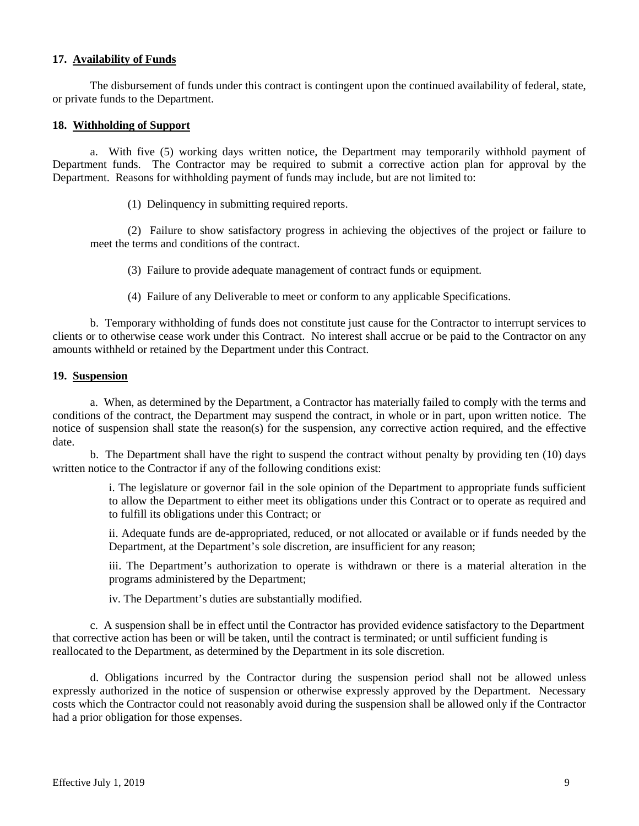# **17. Availability of Funds**

The disbursement of funds under this contract is contingent upon the continued availability of federal, state, or private funds to the Department.

#### **18. Withholding of Support**

a. With five (5) working days written notice, the Department may temporarily withhold payment of Department funds. The Contractor may be required to submit a corrective action plan for approval by the Department. Reasons for withholding payment of funds may include, but are not limited to:

(1) Delinquency in submitting required reports.

(2) Failure to show satisfactory progress in achieving the objectives of the project or failure to meet the terms and conditions of the contract.

(3) Failure to provide adequate management of contract funds or equipment.

(4) Failure of any Deliverable to meet or conform to any applicable Specifications.

b. Temporary withholding of funds does not constitute just cause for the Contractor to interrupt services to clients or to otherwise cease work under this Contract. No interest shall accrue or be paid to the Contractor on any amounts withheld or retained by the Department under this Contract.

#### **19. Suspension**

a. When, as determined by the Department, a Contractor has materially failed to comply with the terms and conditions of the contract, the Department may suspend the contract, in whole or in part, upon written notice. The notice of suspension shall state the reason(s) for the suspension, any corrective action required, and the effective date.

b. The Department shall have the right to suspend the contract without penalty by providing ten (10) days written notice to the Contractor if any of the following conditions exist:

> i. The legislature or governor fail in the sole opinion of the Department to appropriate funds sufficient to allow the Department to either meet its obligations under this Contract or to operate as required and to fulfill its obligations under this Contract; or

> ii. Adequate funds are de-appropriated, reduced, or not allocated or available or if funds needed by the Department, at the Department's sole discretion, are insufficient for any reason;

> iii. The Department's authorization to operate is withdrawn or there is a material alteration in the programs administered by the Department;

iv. The Department's duties are substantially modified.

c. A suspension shall be in effect until the Contractor has provided evidence satisfactory to the Department that corrective action has been or will be taken, until the contract is terminated; or until sufficient funding is reallocated to the Department, as determined by the Department in its sole discretion.

d. Obligations incurred by the Contractor during the suspension period shall not be allowed unless expressly authorized in the notice of suspension or otherwise expressly approved by the Department. Necessary costs which the Contractor could not reasonably avoid during the suspension shall be allowed only if the Contractor had a prior obligation for those expenses.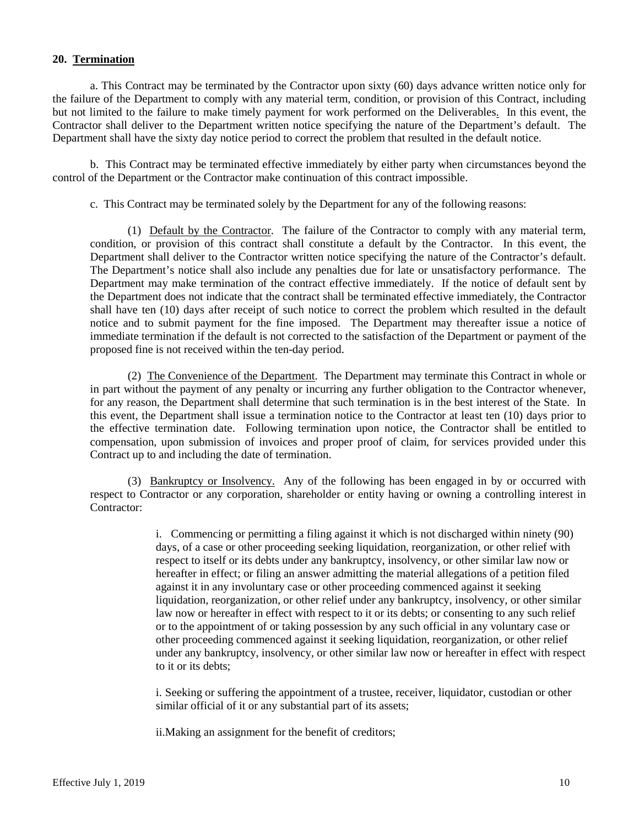#### **20. Termination**

a. This Contract may be terminated by the Contractor upon sixty (60) days advance written notice only for the failure of the Department to comply with any material term, condition, or provision of this Contract, including but not limited to the failure to make timely payment for work performed on the Deliverables. In this event, the Contractor shall deliver to the Department written notice specifying the nature of the Department's default. The Department shall have the sixty day notice period to correct the problem that resulted in the default notice.

b. This Contract may be terminated effective immediately by either party when circumstances beyond the control of the Department or the Contractor make continuation of this contract impossible.

c. This Contract may be terminated solely by the Department for any of the following reasons:

(1) Default by the Contractor. The failure of the Contractor to comply with any material term, condition, or provision of this contract shall constitute a default by the Contractor. In this event, the Department shall deliver to the Contractor written notice specifying the nature of the Contractor's default. The Department's notice shall also include any penalties due for late or unsatisfactory performance. The Department may make termination of the contract effective immediately. If the notice of default sent by the Department does not indicate that the contract shall be terminated effective immediately, the Contractor shall have ten (10) days after receipt of such notice to correct the problem which resulted in the default notice and to submit payment for the fine imposed. The Department may thereafter issue a notice of immediate termination if the default is not corrected to the satisfaction of the Department or payment of the proposed fine is not received within the ten-day period.

(2) The Convenience of the Department. The Department may terminate this Contract in whole or in part without the payment of any penalty or incurring any further obligation to the Contractor whenever, for any reason, the Department shall determine that such termination is in the best interest of the State. In this event, the Department shall issue a termination notice to the Contractor at least ten (10) days prior to the effective termination date. Following termination upon notice, the Contractor shall be entitled to compensation, upon submission of invoices and proper proof of claim, for services provided under this Contract up to and including the date of termination.

(3) Bankruptcy or Insolvency. Any of the following has been engaged in by or occurred with respect to Contractor or any corporation, shareholder or entity having or owning a controlling interest in Contractor:

> i. Commencing or permitting a filing against it which is not discharged within ninety (90) days, of a case or other proceeding seeking liquidation, reorganization, or other relief with respect to itself or its debts under any bankruptcy, insolvency, or other similar law now or hereafter in effect; or filing an answer admitting the material allegations of a petition filed against it in any involuntary case or other proceeding commenced against it seeking liquidation, reorganization, or other relief under any bankruptcy, insolvency, or other similar law now or hereafter in effect with respect to it or its debts; or consenting to any such relief or to the appointment of or taking possession by any such official in any voluntary case or other proceeding commenced against it seeking liquidation, reorganization, or other relief under any bankruptcy, insolvency, or other similar law now or hereafter in effect with respect to it or its debts;

i. Seeking or suffering the appointment of a trustee, receiver, liquidator, custodian or other similar official of it or any substantial part of its assets;

ii.Making an assignment for the benefit of creditors;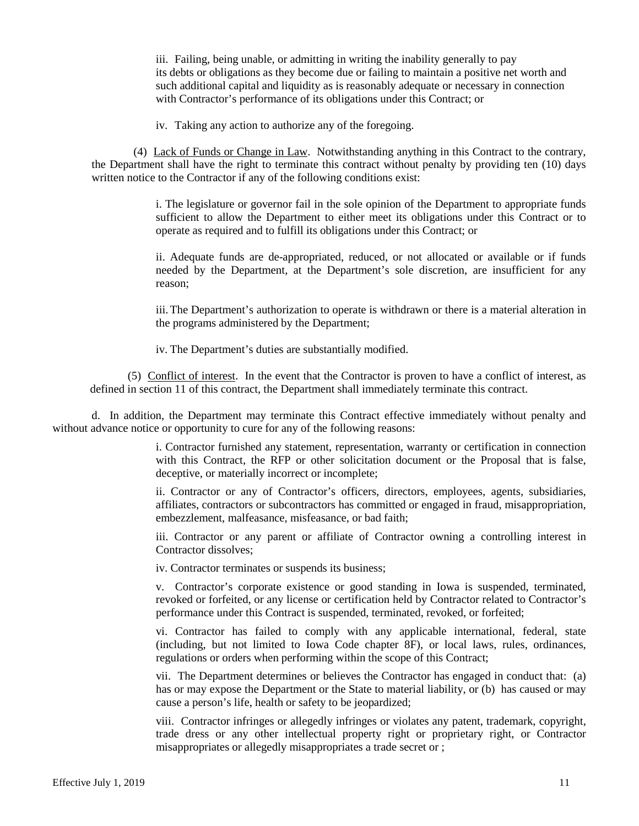iii. Failing, being unable, or admitting in writing the inability generally to pay its debts or obligations as they become due or failing to maintain a positive net worth and such additional capital and liquidity as is reasonably adequate or necessary in connection with Contractor's performance of its obligations under this Contract; or

iv. Taking any action to authorize any of the foregoing.

(4) Lack of Funds or Change in Law. Notwithstanding anything in this Contract to the contrary, the Department shall have the right to terminate this contract without penalty by providing ten (10) days written notice to the Contractor if any of the following conditions exist:

> i. The legislature or governor fail in the sole opinion of the Department to appropriate funds sufficient to allow the Department to either meet its obligations under this Contract or to operate as required and to fulfill its obligations under this Contract; or

> ii. Adequate funds are de-appropriated, reduced, or not allocated or available or if funds needed by the Department, at the Department's sole discretion, are insufficient for any reason;

> iii.The Department's authorization to operate is withdrawn or there is a material alteration in the programs administered by the Department;

iv. The Department's duties are substantially modified.

(5) Conflict of interest. In the event that the Contractor is proven to have a conflict of interest, as defined in section 11 of this contract, the Department shall immediately terminate this contract.

d. In addition, the Department may terminate this Contract effective immediately without penalty and without advance notice or opportunity to cure for any of the following reasons:

> i. Contractor furnished any statement, representation, warranty or certification in connection with this Contract, the RFP or other solicitation document or the Proposal that is false, deceptive, or materially incorrect or incomplete;

> ii. Contractor or any of Contractor's officers, directors, employees, agents, subsidiaries, affiliates, contractors or subcontractors has committed or engaged in fraud, misappropriation, embezzlement, malfeasance, misfeasance, or bad faith;

> iii. Contractor or any parent or affiliate of Contractor owning a controlling interest in Contractor dissolves;

iv. Contractor terminates or suspends its business;

v. Contractor's corporate existence or good standing in Iowa is suspended, terminated, revoked or forfeited, or any license or certification held by Contractor related to Contractor's performance under this Contract is suspended, terminated, revoked, or forfeited;

vi. Contractor has failed to comply with any applicable international, federal, state (including, but not limited to Iowa Code chapter 8F), or local laws, rules, ordinances, regulations or orders when performing within the scope of this Contract;

vii. The Department determines or believes the Contractor has engaged in conduct that: (a) has or may expose the Department or the State to material liability, or (b) has caused or may cause a person's life, health or safety to be jeopardized;

viii. Contractor infringes or allegedly infringes or violates any patent, trademark, copyright, trade dress or any other intellectual property right or proprietary right, or Contractor misappropriates or allegedly misappropriates a trade secret or ;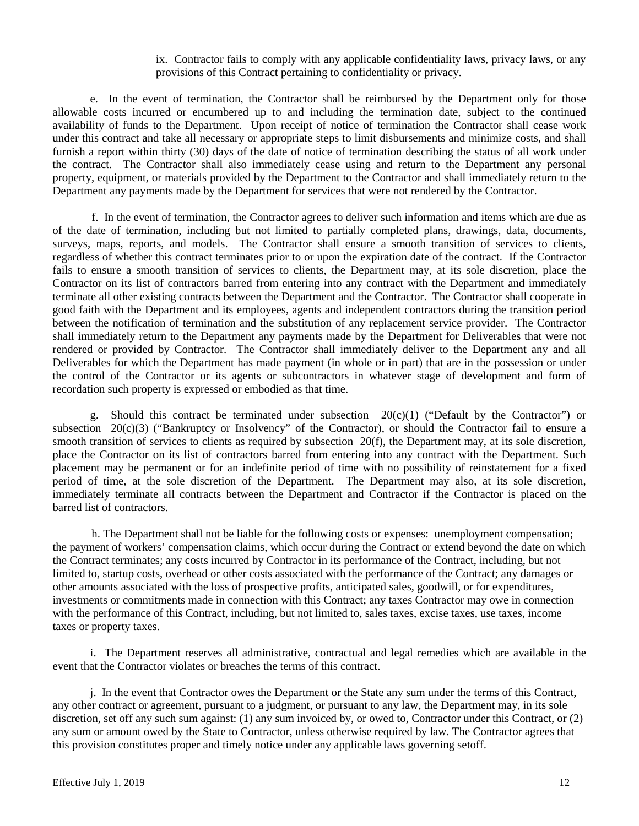### ix.Contractor fails to comply with any applicable confidentiality laws, privacy laws, or any provisions of this Contract pertaining to confidentiality or privacy.

e. In the event of termination, the Contractor shall be reimbursed by the Department only for those allowable costs incurred or encumbered up to and including the termination date, subject to the continued availability of funds to the Department. Upon receipt of notice of termination the Contractor shall cease work under this contract and take all necessary or appropriate steps to limit disbursements and minimize costs, and shall furnish a report within thirty (30) days of the date of notice of termination describing the status of all work under the contract. The Contractor shall also immediately cease using and return to the Department any personal property, equipment, or materials provided by the Department to the Contractor and shall immediately return to the Department any payments made by the Department for services that were not rendered by the Contractor.

f. In the event of termination, the Contractor agrees to deliver such information and items which are due as of the date of termination, including but not limited to partially completed plans, drawings, data, documents, surveys, maps, reports, and models. The Contractor shall ensure a smooth transition of services to clients, regardless of whether this contract terminates prior to or upon the expiration date of the contract. If the Contractor fails to ensure a smooth transition of services to clients, the Department may, at its sole discretion, place the Contractor on its list of contractors barred from entering into any contract with the Department and immediately terminate all other existing contracts between the Department and the Contractor. The Contractor shall cooperate in good faith with the Department and its employees, agents and independent contractors during the transition period between the notification of termination and the substitution of any replacement service provider. The Contractor shall immediately return to the Department any payments made by the Department for Deliverables that were not rendered or provided by Contractor. The Contractor shall immediately deliver to the Department any and all Deliverables for which the Department has made payment (in whole or in part) that are in the possession or under the control of the Contractor or its agents or subcontractors in whatever stage of development and form of recordation such property is expressed or embodied as that time.

g. Should this contract be terminated under subsection  $20(c)(1)$  ("Default by the Contractor") or subsection 20(c)(3) ("Bankruptcy or Insolvency" of the Contractor), or should the Contractor fail to ensure a smooth transition of services to clients as required by subsection 20(f), the Department may, at its sole discretion, place the Contractor on its list of contractors barred from entering into any contract with the Department. Such placement may be permanent or for an indefinite period of time with no possibility of reinstatement for a fixed period of time, at the sole discretion of the Department. The Department may also, at its sole discretion, immediately terminate all contracts between the Department and Contractor if the Contractor is placed on the barred list of contractors.

h. The Department shall not be liable for the following costs or expenses: unemployment compensation; the payment of workers' compensation claims, which occur during the Contract or extend beyond the date on which the Contract terminates; any costs incurred by Contractor in its performance of the Contract, including, but not limited to, startup costs, overhead or other costs associated with the performance of the Contract; any damages or other amounts associated with the loss of prospective profits, anticipated sales, goodwill, or for expenditures, investments or commitments made in connection with this Contract; any taxes Contractor may owe in connection with the performance of this Contract, including, but not limited to, sales taxes, excise taxes, use taxes, income taxes or property taxes.

i. The Department reserves all administrative, contractual and legal remedies which are available in the event that the Contractor violates or breaches the terms of this contract.

j. In the event that Contractor owes the Department or the State any sum under the terms of this Contract, any other contract or agreement, pursuant to a judgment, or pursuant to any law, the Department may, in its sole discretion, set off any such sum against: (1) any sum invoiced by, or owed to, Contractor under this Contract, or (2) any sum or amount owed by the State to Contractor, unless otherwise required by law. The Contractor agrees that this provision constitutes proper and timely notice under any applicable laws governing setoff.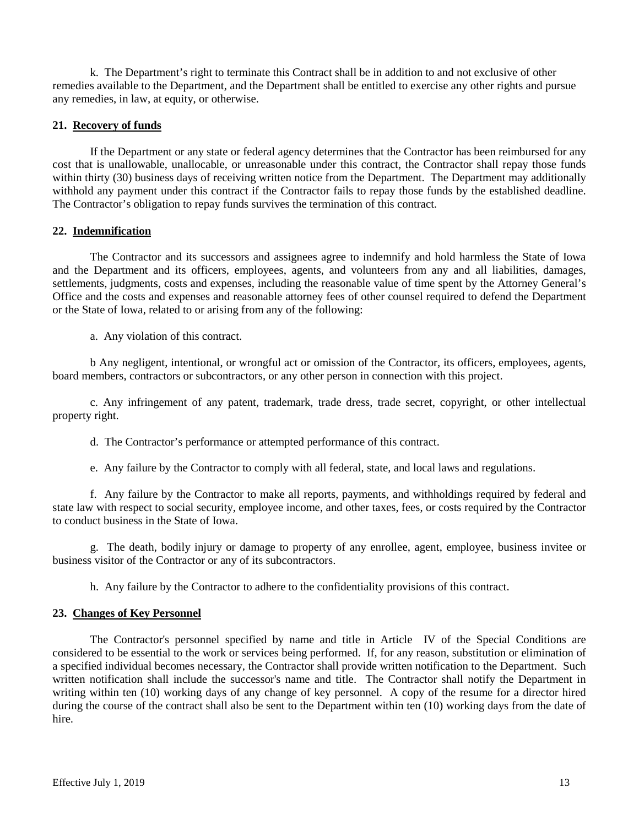k. The Department's right to terminate this Contract shall be in addition to and not exclusive of other remedies available to the Department, and the Department shall be entitled to exercise any other rights and pursue any remedies, in law, at equity, or otherwise.

# **21. Recovery of funds**

If the Department or any state or federal agency determines that the Contractor has been reimbursed for any cost that is unallowable, unallocable, or unreasonable under this contract, the Contractor shall repay those funds within thirty (30) business days of receiving written notice from the Department. The Department may additionally withhold any payment under this contract if the Contractor fails to repay those funds by the established deadline. The Contractor's obligation to repay funds survives the termination of this contract.

# **22. Indemnification**

The Contractor and its successors and assignees agree to indemnify and hold harmless the State of Iowa and the Department and its officers, employees, agents, and volunteers from any and all liabilities, damages, settlements, judgments, costs and expenses, including the reasonable value of time spent by the Attorney General's Office and the costs and expenses and reasonable attorney fees of other counsel required to defend the Department or the State of Iowa, related to or arising from any of the following:

a. Any violation of this contract.

b Any negligent, intentional, or wrongful act or omission of the Contractor, its officers, employees, agents, board members, contractors or subcontractors, or any other person in connection with this project.

c. Any infringement of any patent, trademark, trade dress, trade secret, copyright, or other intellectual property right.

d. The Contractor's performance or attempted performance of this contract.

e. Any failure by the Contractor to comply with all federal, state, and local laws and regulations.

f. Any failure by the Contractor to make all reports, payments, and withholdings required by federal and state law with respect to social security, employee income, and other taxes, fees, or costs required by the Contractor to conduct business in the State of Iowa.

g. The death, bodily injury or damage to property of any enrollee, agent, employee, business invitee or business visitor of the Contractor or any of its subcontractors.

h. Any failure by the Contractor to adhere to the confidentiality provisions of this contract.

# **23. Changes of Key Personnel**

The Contractor's personnel specified by name and title in Article IV of the Special Conditions are considered to be essential to the work or services being performed. If, for any reason, substitution or elimination of a specified individual becomes necessary, the Contractor shall provide written notification to the Department. Such written notification shall include the successor's name and title. The Contractor shall notify the Department in writing within ten (10) working days of any change of key personnel. A copy of the resume for a director hired during the course of the contract shall also be sent to the Department within ten (10) working days from the date of hire.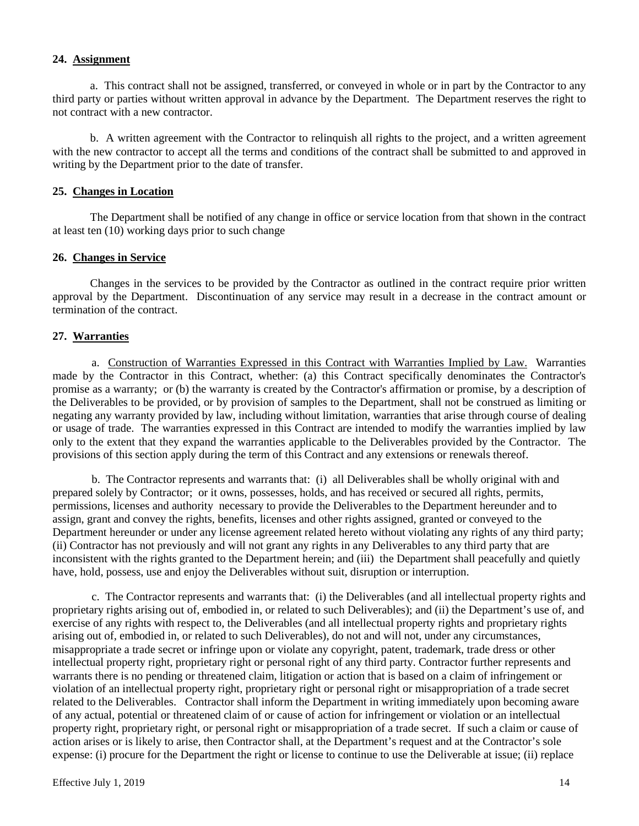# **24. Assignment**

a. This contract shall not be assigned, transferred, or conveyed in whole or in part by the Contractor to any third party or parties without written approval in advance by the Department. The Department reserves the right to not contract with a new contractor.

b. A written agreement with the Contractor to relinquish all rights to the project, and a written agreement with the new contractor to accept all the terms and conditions of the contract shall be submitted to and approved in writing by the Department prior to the date of transfer.

# **25. Changes in Location**

The Department shall be notified of any change in office or service location from that shown in the contract at least ten (10) working days prior to such change

### **26. Changes in Service**

Changes in the services to be provided by the Contractor as outlined in the contract require prior written approval by the Department. Discontinuation of any service may result in a decrease in the contract amount or termination of the contract.

# **27. Warranties**

a.Construction of Warranties Expressed in this Contract with Warranties Implied by Law. Warranties made by the Contractor in this Contract, whether: (a) this Contract specifically denominates the Contractor's promise as a warranty; or (b) the warranty is created by the Contractor's affirmation or promise, by a description of the Deliverables to be provided, or by provision of samples to the Department, shall not be construed as limiting or negating any warranty provided by law, including without limitation, warranties that arise through course of dealing or usage of trade. The warranties expressed in this Contract are intended to modify the warranties implied by law only to the extent that they expand the warranties applicable to the Deliverables provided by the Contractor. The provisions of this section apply during the term of this Contract and any extensions or renewals thereof.

b.The Contractor represents and warrants that: (i) all Deliverables shall be wholly original with and prepared solely by Contractor; or it owns, possesses, holds, and has received or secured all rights, permits, permissions, licenses and authority necessary to provide the Deliverables to the Department hereunder and to assign, grant and convey the rights, benefits, licenses and other rights assigned, granted or conveyed to the Department hereunder or under any license agreement related hereto without violating any rights of any third party; (ii) Contractor has not previously and will not grant any rights in any Deliverables to any third party that are inconsistent with the rights granted to the Department herein; and (iii) the Department shall peacefully and quietly have, hold, possess, use and enjoy the Deliverables without suit, disruption or interruption.

c.The Contractor represents and warrants that: (i) the Deliverables (and all intellectual property rights and proprietary rights arising out of, embodied in, or related to such Deliverables); and (ii) the Department's use of, and exercise of any rights with respect to, the Deliverables (and all intellectual property rights and proprietary rights arising out of, embodied in, or related to such Deliverables), do not and will not, under any circumstances, misappropriate a trade secret or infringe upon or violate any copyright, patent, trademark, trade dress or other intellectual property right, proprietary right or personal right of any third party. Contractor further represents and warrants there is no pending or threatened claim, litigation or action that is based on a claim of infringement or violation of an intellectual property right, proprietary right or personal right or misappropriation of a trade secret related to the Deliverables. Contractor shall inform the Department in writing immediately upon becoming aware of any actual, potential or threatened claim of or cause of action for infringement or violation or an intellectual property right, proprietary right, or personal right or misappropriation of a trade secret. If such a claim or cause of action arises or is likely to arise, then Contractor shall, at the Department's request and at the Contractor's sole expense: (i) procure for the Department the right or license to continue to use the Deliverable at issue; (ii) replace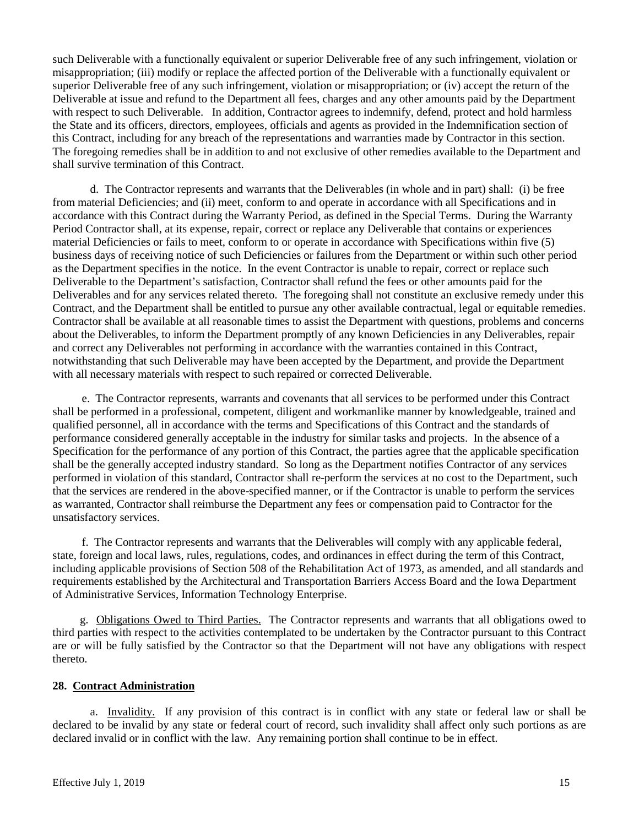such Deliverable with a functionally equivalent or superior Deliverable free of any such infringement, violation or misappropriation; (iii) modify or replace the affected portion of the Deliverable with a functionally equivalent or superior Deliverable free of any such infringement, violation or misappropriation; or (iv) accept the return of the Deliverable at issue and refund to the Department all fees, charges and any other amounts paid by the Department with respect to such Deliverable. In addition, Contractor agrees to indemnify, defend, protect and hold harmless the State and its officers, directors, employees, officials and agents as provided in the Indemnification section of this Contract, including for any breach of the representations and warranties made by Contractor in this section. The foregoing remedies shall be in addition to and not exclusive of other remedies available to the Department and shall survive termination of this Contract.

d.The Contractor represents and warrants that the Deliverables (in whole and in part) shall: (i) be free from material Deficiencies; and (ii) meet, conform to and operate in accordance with all Specifications and in accordance with this Contract during the Warranty Period, as defined in the Special Terms. During the Warranty Period Contractor shall, at its expense, repair, correct or replace any Deliverable that contains or experiences material Deficiencies or fails to meet, conform to or operate in accordance with Specifications within five (5) business days of receiving notice of such Deficiencies or failures from the Department or within such other period as the Department specifies in the notice. In the event Contractor is unable to repair, correct or replace such Deliverable to the Department's satisfaction, Contractor shall refund the fees or other amounts paid for the Deliverables and for any services related thereto. The foregoing shall not constitute an exclusive remedy under this Contract, and the Department shall be entitled to pursue any other available contractual, legal or equitable remedies. Contractor shall be available at all reasonable times to assist the Department with questions, problems and concerns about the Deliverables, to inform the Department promptly of any known Deficiencies in any Deliverables, repair and correct any Deliverables not performing in accordance with the warranties contained in this Contract, notwithstanding that such Deliverable may have been accepted by the Department, and provide the Department with all necessary materials with respect to such repaired or corrected Deliverable.

e.The Contractor represents, warrants and covenants that all services to be performed under this Contract shall be performed in a professional, competent, diligent and workmanlike manner by knowledgeable, trained and qualified personnel, all in accordance with the terms and Specifications of this Contract and the standards of performance considered generally acceptable in the industry for similar tasks and projects. In the absence of a Specification for the performance of any portion of this Contract, the parties agree that the applicable specification shall be the generally accepted industry standard. So long as the Department notifies Contractor of any services performed in violation of this standard, Contractor shall re-perform the services at no cost to the Department, such that the services are rendered in the above-specified manner, or if the Contractor is unable to perform the services as warranted, Contractor shall reimburse the Department any fees or compensation paid to Contractor for the unsatisfactory services.

f.The Contractor represents and warrants that the Deliverables will comply with any applicable federal, state, foreign and local laws, rules, regulations, codes, and ordinances in effect during the term of this Contract, including applicable provisions of Section 508 of the Rehabilitation Act of 1973, as amended, and all standards and requirements established by the Architectural and Transportation Barriers Access Board and the Iowa Department of Administrative Services, Information Technology Enterprise.

 g.Obligations Owed to Third Parties.The Contractor represents and warrants that all obligations owed to third parties with respect to the activities contemplated to be undertaken by the Contractor pursuant to this Contract are or will be fully satisfied by the Contractor so that the Department will not have any obligations with respect thereto.

# **28. Contract Administration**

a. Invalidity. If any provision of this contract is in conflict with any state or federal law or shall be declared to be invalid by any state or federal court of record, such invalidity shall affect only such portions as are declared invalid or in conflict with the law. Any remaining portion shall continue to be in effect.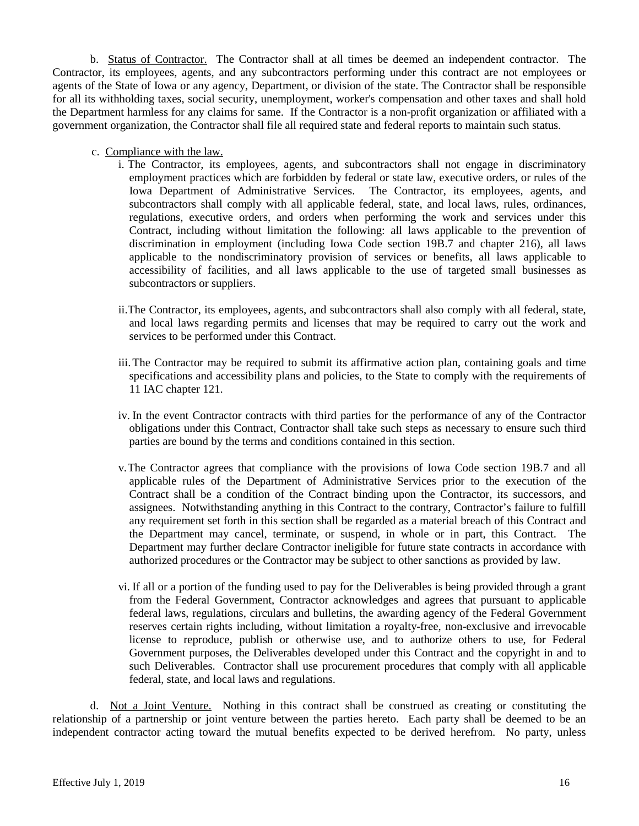b. Status of Contractor. The Contractor shall at all times be deemed an independent contractor. The Contractor, its employees, agents, and any subcontractors performing under this contract are not employees or agents of the State of Iowa or any agency, Department, or division of the state. The Contractor shall be responsible for all its withholding taxes, social security, unemployment, worker's compensation and other taxes and shall hold the Department harmless for any claims for same. If the Contractor is a non-profit organization or affiliated with a government organization, the Contractor shall file all required state and federal reports to maintain such status.

- c. Compliance with the law.
	- i. The Contractor, its employees, agents, and subcontractors shall not engage in discriminatory employment practices which are forbidden by federal or state law, executive orders, or rules of the Iowa Department of Administrative Services. The Contractor, its employees, agents, and subcontractors shall comply with all applicable federal, state, and local laws, rules, ordinances, regulations, executive orders, and orders when performing the work and services under this Contract, including without limitation the following: all laws applicable to the prevention of discrimination in employment (including Iowa Code section 19B.7 and chapter 216), all laws applicable to the nondiscriminatory provision of services or benefits, all laws applicable to accessibility of facilities, and all laws applicable to the use of targeted small businesses as subcontractors or suppliers.
	- ii.The Contractor, its employees, agents, and subcontractors shall also comply with all federal, state, and local laws regarding permits and licenses that may be required to carry out the work and services to be performed under this Contract.
	- iii.The Contractor may be required to submit its affirmative action plan, containing goals and time specifications and accessibility plans and policies, to the State to comply with the requirements of 11 IAC chapter 121.
	- iv. In the event Contractor contracts with third parties for the performance of any of the Contractor obligations under this Contract, Contractor shall take such steps as necessary to ensure such third parties are bound by the terms and conditions contained in this section.
	- v.The Contractor agrees that compliance with the provisions of Iowa Code section 19B.7 and all applicable rules of the Department of Administrative Services prior to the execution of the Contract shall be a condition of the Contract binding upon the Contractor, its successors, and assignees. Notwithstanding anything in this Contract to the contrary, Contractor's failure to fulfill any requirement set forth in this section shall be regarded as a material breach of this Contract and the Department may cancel, terminate, or suspend, in whole or in part, this Contract. The Department may further declare Contractor ineligible for future state contracts in accordance with authorized procedures or the Contractor may be subject to other sanctions as provided by law.
	- vi. If all or a portion of the funding used to pay for the Deliverables is being provided through a grant from the Federal Government, Contractor acknowledges and agrees that pursuant to applicable federal laws, regulations, circulars and bulletins, the awarding agency of the Federal Government reserves certain rights including, without limitation a royalty-free, non-exclusive and irrevocable license to reproduce, publish or otherwise use, and to authorize others to use, for Federal Government purposes, the Deliverables developed under this Contract and the copyright in and to such Deliverables. Contractor shall use procurement procedures that comply with all applicable federal, state, and local laws and regulations.

d. Not a Joint Venture. Nothing in this contract shall be construed as creating or constituting the relationship of a partnership or joint venture between the parties hereto. Each party shall be deemed to be an independent contractor acting toward the mutual benefits expected to be derived herefrom. No party, unless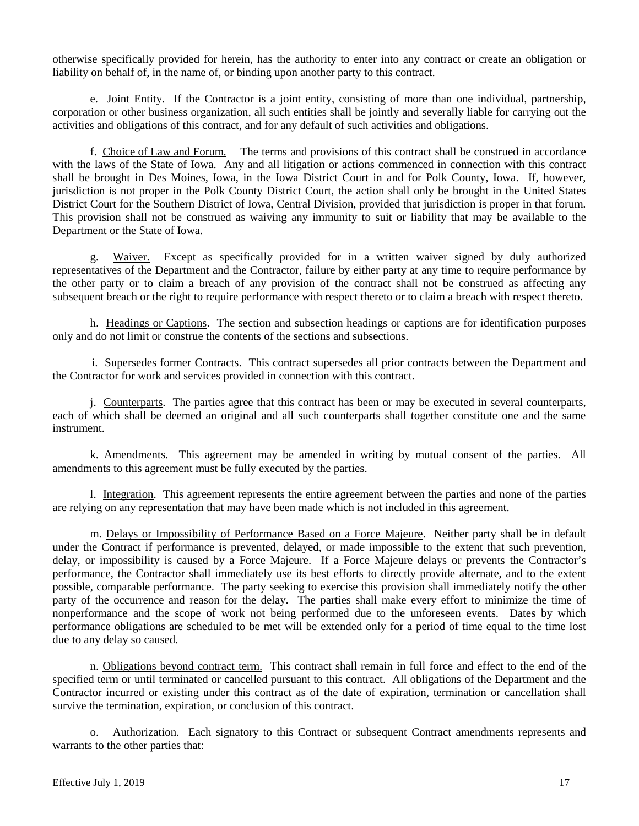otherwise specifically provided for herein, has the authority to enter into any contract or create an obligation or liability on behalf of, in the name of, or binding upon another party to this contract.

e. Joint Entity. If the Contractor is a joint entity, consisting of more than one individual, partnership, corporation or other business organization, all such entities shall be jointly and severally liable for carrying out the activities and obligations of this contract, and for any default of such activities and obligations.

f. Choice of Law and Forum. The terms and provisions of this contract shall be construed in accordance with the laws of the State of Iowa. Any and all litigation or actions commenced in connection with this contract shall be brought in Des Moines, Iowa, in the Iowa District Court in and for Polk County, Iowa. If, however, jurisdiction is not proper in the Polk County District Court, the action shall only be brought in the United States District Court for the Southern District of Iowa, Central Division, provided that jurisdiction is proper in that forum. This provision shall not be construed as waiving any immunity to suit or liability that may be available to the Department or the State of Iowa.

g. Waiver. Except as specifically provided for in a written waiver signed by duly authorized representatives of the Department and the Contractor, failure by either party at any time to require performance by the other party or to claim a breach of any provision of the contract shall not be construed as affecting any subsequent breach or the right to require performance with respect thereto or to claim a breach with respect thereto.

h. Headings or Captions. The section and subsection headings or captions are for identification purposes only and do not limit or construe the contents of the sections and subsections.

i. Supersedes former Contracts. This contract supersedes all prior contracts between the Department and the Contractor for work and services provided in connection with this contract.

j. Counterparts. The parties agree that this contract has been or may be executed in several counterparts, each of which shall be deemed an original and all such counterparts shall together constitute one and the same instrument.

k. Amendments. This agreement may be amended in writing by mutual consent of the parties. All amendments to this agreement must be fully executed by the parties.

l. Integration. This agreement represents the entire agreement between the parties and none of the parties are relying on any representation that may have been made which is not included in this agreement.

m. Delays or Impossibility of Performance Based on a Force Majeure. Neither party shall be in default under the Contract if performance is prevented, delayed, or made impossible to the extent that such prevention, delay, or impossibility is caused by a Force Majeure. If a Force Majeure delays or prevents the Contractor's performance, the Contractor shall immediately use its best efforts to directly provide alternate, and to the extent possible, comparable performance. The party seeking to exercise this provision shall immediately notify the other party of the occurrence and reason for the delay. The parties shall make every effort to minimize the time of nonperformance and the scope of work not being performed due to the unforeseen events. Dates by which performance obligations are scheduled to be met will be extended only for a period of time equal to the time lost due to any delay so caused.

n. Obligations beyond contract term. This contract shall remain in full force and effect to the end of the specified term or until terminated or cancelled pursuant to this contract. All obligations of the Department and the Contractor incurred or existing under this contract as of the date of expiration, termination or cancellation shall survive the termination, expiration, or conclusion of this contract.

o. Authorization. Each signatory to this Contract or subsequent Contract amendments represents and warrants to the other parties that: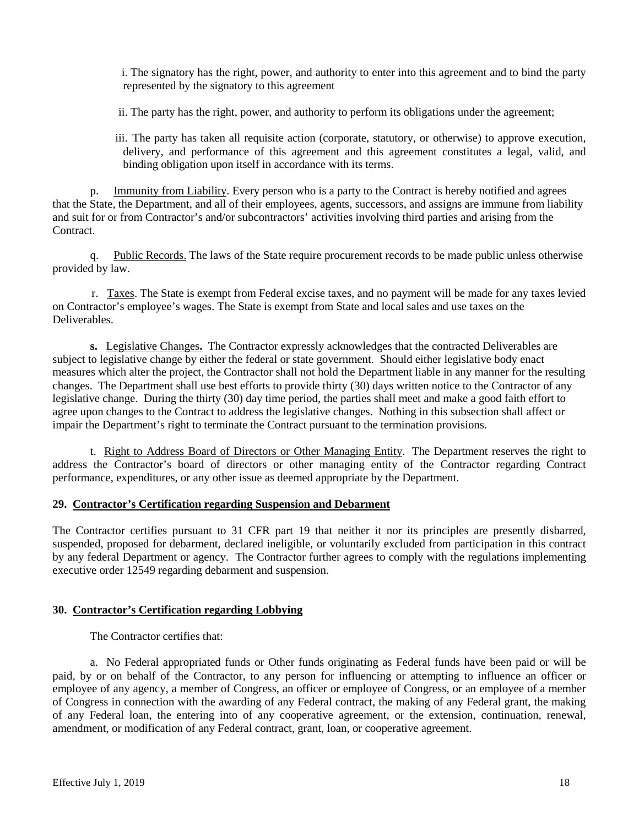i. The signatory has the right, power, and authority to enter into this agreement and to bind the party represented by the signatory to this agreement

ii. The party has the right, power, and authority to perform its obligations under the agreement;

iii. The party has taken all requisite action (corporate, statutory, or otherwise) to approve execution, delivery, and performance of this agreement and this agreement constitutes a legal, valid, and binding obligation upon itself in accordance with its terms.

p. Immunity from Liability. Every person who is a party to the Contract is hereby notified and agrees that the State, the Department, and all of their employees, agents, successors, and assigns are immune from liability and suit for or from Contractor's and/or subcontractors' activities involving third parties and arising from the Contract.

q. Public Records. The laws of the State require procurement records to be made public unless otherwise provided by law.

r. Taxes. The State is exempt from Federal excise taxes, and no payment will be made for any taxes levied on Contractor's employee's wages. The State is exempt from State and local sales and use taxes on the Deliverables.

**s.** Legislative Changes**.** The Contractor expressly acknowledges that the contracted Deliverables are subject to legislative change by either the federal or state government. Should either legislative body enact measures which alter the project, the Contractor shall not hold the Department liable in any manner for the resulting changes. The Department shall use best efforts to provide thirty (30) days written notice to the Contractor of any legislative change. During the thirty (30) day time period, the parties shall meet and make a good faith effort to agree upon changes to the Contract to address the legislative changes. Nothing in this subsection shall affect or impair the Department's right to terminate the Contract pursuant to the termination provisions.

t. Right to Address Board of Directors or Other Managing Entity. The Department reserves the right to address the Contractor's board of directors or other managing entity of the Contractor regarding Contract performance, expenditures, or any other issue as deemed appropriate by the Department.

# **29. Contractor's Certification regarding Suspension and Debarment**

The Contractor certifies pursuant to 31 CFR part 19 that neither it nor its principles are presently disbarred, suspended, proposed for debarment, declared ineligible, or voluntarily excluded from participation in this contract by any federal Department or agency. The Contractor further agrees to comply with the regulations implementing executive order 12549 regarding debarment and suspension.

# **30. Contractor's Certification regarding Lobbying**

The Contractor certifies that:

a. No Federal appropriated funds or Other funds originating as Federal funds have been paid or will be paid, by or on behalf of the Contractor, to any person for influencing or attempting to influence an officer or employee of any agency, a member of Congress, an officer or employee of Congress, or an employee of a member of Congress in connection with the awarding of any Federal contract, the making of any Federal grant, the making of any Federal loan, the entering into of any cooperative agreement, or the extension, continuation, renewal, amendment, or modification of any Federal contract, grant, loan, or cooperative agreement.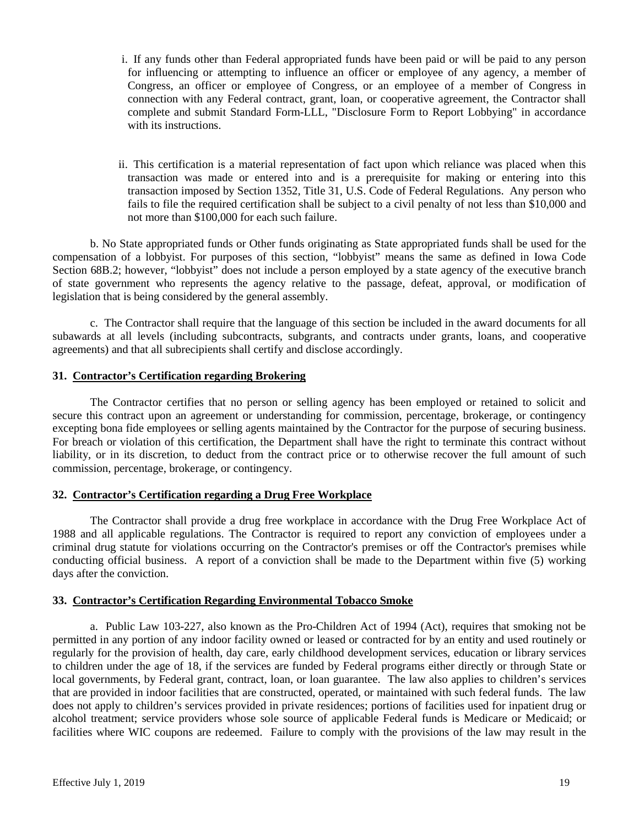- i. If any funds other than Federal appropriated funds have been paid or will be paid to any person for influencing or attempting to influence an officer or employee of any agency, a member of Congress, an officer or employee of Congress, or an employee of a member of Congress in connection with any Federal contract, grant, loan, or cooperative agreement, the Contractor shall complete and submit Standard Form-LLL, "Disclosure Form to Report Lobbying" in accordance with its instructions.
- ii. This certification is a material representation of fact upon which reliance was placed when this transaction was made or entered into and is a prerequisite for making or entering into this transaction imposed by Section 1352, Title 31, U.S. Code of Federal Regulations. Any person who fails to file the required certification shall be subject to a civil penalty of not less than \$10,000 and not more than \$100,000 for each such failure.

b. No State appropriated funds or Other funds originating as State appropriated funds shall be used for the compensation of a lobbyist. For purposes of this section, "lobbyist" means the same as defined in Iowa Code Section 68B.2; however, "lobbyist" does not include a person employed by a state agency of the executive branch of state government who represents the agency relative to the passage, defeat, approval, or modification of legislation that is being considered by the general assembly.

c. The Contractor shall require that the language of this section be included in the award documents for all subawards at all levels (including subcontracts, subgrants, and contracts under grants, loans, and cooperative agreements) and that all subrecipients shall certify and disclose accordingly.

# **31. Contractor's Certification regarding Brokering**

The Contractor certifies that no person or selling agency has been employed or retained to solicit and secure this contract upon an agreement or understanding for commission, percentage, brokerage, or contingency excepting bona fide employees or selling agents maintained by the Contractor for the purpose of securing business. For breach or violation of this certification, the Department shall have the right to terminate this contract without liability, or in its discretion, to deduct from the contract price or to otherwise recover the full amount of such commission, percentage, brokerage, or contingency.

# **32. Contractor's Certification regarding a Drug Free Workplace**

The Contractor shall provide a drug free workplace in accordance with the Drug Free Workplace Act of 1988 and all applicable regulations. The Contractor is required to report any conviction of employees under a criminal drug statute for violations occurring on the Contractor's premises or off the Contractor's premises while conducting official business. A report of a conviction shall be made to the Department within five (5) working days after the conviction.

# **33. Contractor's Certification Regarding Environmental Tobacco Smoke**

a. Public Law 103-227, also known as the Pro-Children Act of 1994 (Act), requires that smoking not be permitted in any portion of any indoor facility owned or leased or contracted for by an entity and used routinely or regularly for the provision of health, day care, early childhood development services, education or library services to children under the age of 18, if the services are funded by Federal programs either directly or through State or local governments, by Federal grant, contract, loan, or loan guarantee. The law also applies to children's services that are provided in indoor facilities that are constructed, operated, or maintained with such federal funds. The law does not apply to children's services provided in private residences; portions of facilities used for inpatient drug or alcohol treatment; service providers whose sole source of applicable Federal funds is Medicare or Medicaid; or facilities where WIC coupons are redeemed. Failure to comply with the provisions of the law may result in the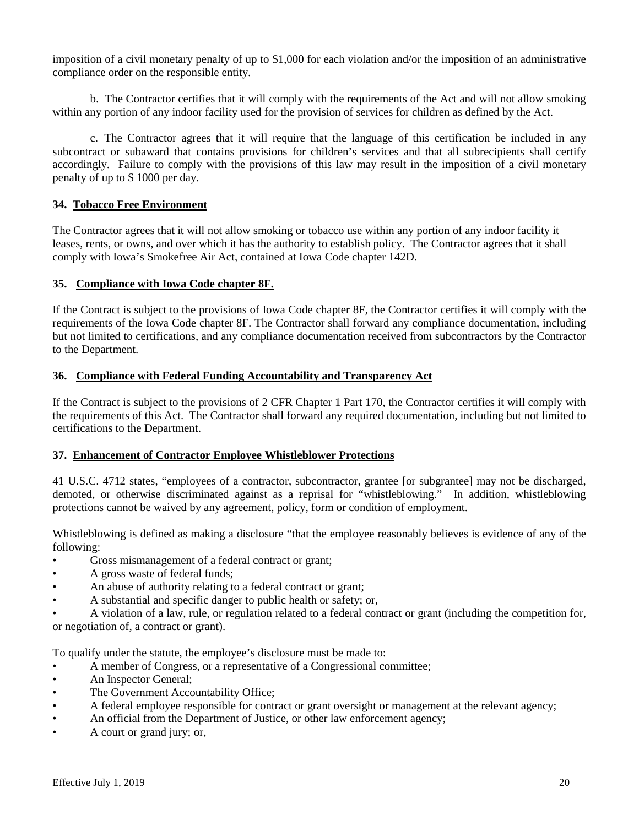imposition of a civil monetary penalty of up to \$1,000 for each violation and/or the imposition of an administrative compliance order on the responsible entity.

b. The Contractor certifies that it will comply with the requirements of the Act and will not allow smoking within any portion of any indoor facility used for the provision of services for children as defined by the Act.

c. The Contractor agrees that it will require that the language of this certification be included in any subcontract or subaward that contains provisions for children's services and that all subrecipients shall certify accordingly. Failure to comply with the provisions of this law may result in the imposition of a civil monetary penalty of up to \$ 1000 per day.

# **34. Tobacco Free Environment**

The Contractor agrees that it will not allow smoking or tobacco use within any portion of any indoor facility it leases, rents, or owns, and over which it has the authority to establish policy. The Contractor agrees that it shall comply with Iowa's Smokefree Air Act, contained at Iowa Code chapter 142D.

# **35. Compliance with Iowa Code chapter 8F.**

If the Contract is subject to the provisions of Iowa Code chapter 8F, the Contractor certifies it will comply with the requirements of the Iowa Code chapter 8F. The Contractor shall forward any compliance documentation, including but not limited to certifications, and any compliance documentation received from subcontractors by the Contractor to the Department.

# **36. Compliance with Federal Funding Accountability and Transparency Act**

If the Contract is subject to the provisions of 2 CFR Chapter 1 Part 170, the Contractor certifies it will comply with the requirements of this Act. The Contractor shall forward any required documentation, including but not limited to certifications to the Department.

# **37. Enhancement of Contractor Employee Whistleblower Protections**

41 U.S.C. 4712 states, "employees of a contractor, subcontractor, grantee [or subgrantee] may not be discharged, demoted, or otherwise discriminated against as a reprisal for "whistleblowing." In addition, whistleblowing protections cannot be waived by any agreement, policy, form or condition of employment.

Whistleblowing is defined as making a disclosure "that the employee reasonably believes is evidence of any of the following:

- Gross mismanagement of a federal contract or grant;
- A gross waste of federal funds;
- An abuse of authority relating to a federal contract or grant;
- A substantial and specific danger to public health or safety; or,
- A violation of a law, rule, or regulation related to a federal contract or grant (including the competition for, or negotiation of, a contract or grant).

To qualify under the statute, the employee's disclosure must be made to:

- A member of Congress, or a representative of a Congressional committee;
- An Inspector General;
- The Government Accountability Office;
- A federal employee responsible for contract or grant oversight or management at the relevant agency;
- An official from the Department of Justice, or other law enforcement agency;
- A court or grand jury; or,